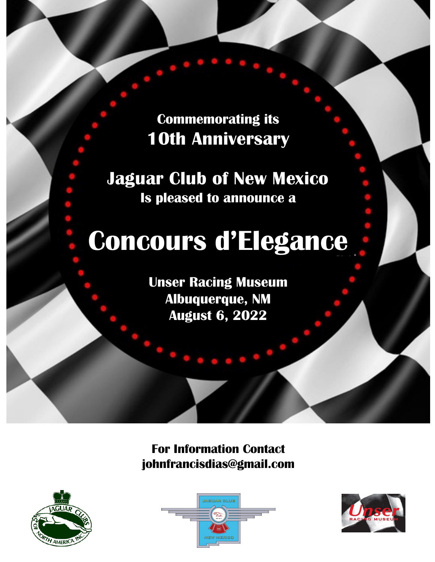**Commemorating its 10th Anniversary**

**Jaguar Club of New Mexico Is pleased to announce a**

# **Concours d'Elegance**

**Unser Racing Museum Albuquerque, NM August 6, 2022**

**For Information Contact johnfrancisdias@gmail.com**





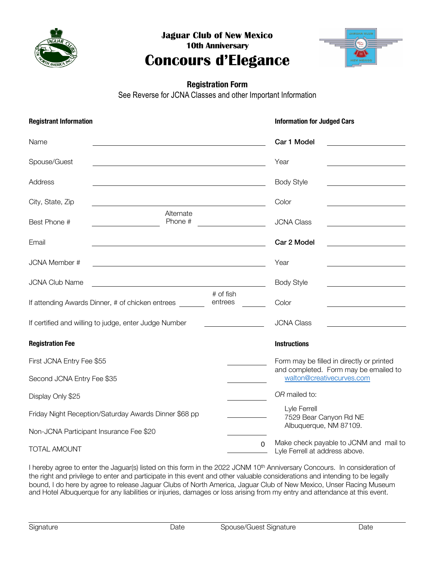

**Jaguar Club of New Mexico 10th Anniversary**

# **Concours d'Elegance**



## **Registration Form**

See Reverse for JCNA Classes and other Important Information

| <b>Registrant Information</b>                         |                                                                                                                       |                      | <b>Information for Judged Cars</b>                                               |
|-------------------------------------------------------|-----------------------------------------------------------------------------------------------------------------------|----------------------|----------------------------------------------------------------------------------|
| Name                                                  |                                                                                                                       |                      | Car 1 Model                                                                      |
| Spouse/Guest                                          |                                                                                                                       |                      | Year                                                                             |
| Address                                               |                                                                                                                       |                      | <b>Body Style</b><br><u> 1989 - Johann Barn, mars ann an t-Amhair ann an t-</u>  |
| City, State, Zip                                      |                                                                                                                       |                      | Color                                                                            |
| Best Phone #                                          | Alternate<br>Phone #                                                                                                  |                      | <b>JCNA Class</b><br>the contract of the contract of the contract of the         |
| Email                                                 | <u> 1989 - Johann Stoff, deutscher Stoff, der Stoff, der Stoff, der Stoff, der Stoff, der Stoff, der Stoff, der S</u> |                      | Car 2 Model<br><u> 1989 - Johann Barbara, martxa alemaniar a</u>                 |
| <b>JCNA Member #</b>                                  | <u> 1989 - Johann Stein, marwolaethau a bhann an t-Amhain an t-Amhain an t-Amhain an t-Amhain an t-Amhain an t-A</u>  |                      | Year<br><u> 1989 - Johann Barbara, martin a</u>                                  |
| <b>JCNA Club Name</b>                                 | <u> 1989 - Johann Stoff, deutscher Stoff, der Stoff, der Stoff, der Stoff, der Stoff, der Stoff, der Stoff, der S</u> |                      | <b>Body Style</b>                                                                |
|                                                       | If attending Awards Dinner, # of chicken entrees                                                                      | # of fish<br>entrees | Color                                                                            |
|                                                       | If certified and willing to judge, enter Judge Number                                                                 |                      | <b>JCNA Class</b><br>the control of the control of the control of the control of |
| <b>Registration Fee</b>                               |                                                                                                                       |                      | <b>Instructions</b>                                                              |
| First JCNA Entry Fee \$55                             |                                                                                                                       |                      | Form may be filled in directly or printed                                        |
| Second JCNA Entry Fee \$35                            |                                                                                                                       |                      | and completed. Form may be emailed to<br>walton@creativecurves.com               |
| Display Only \$25                                     |                                                                                                                       |                      | OR mailed to:                                                                    |
| Friday Night Reception/Saturday Awards Dinner \$68 pp |                                                                                                                       |                      | Lyle Ferrell<br>7529 Bear Canyon Rd NE                                           |
| Non-JCNA Participant Insurance Fee \$20               |                                                                                                                       |                      | Albuquerque, NM 87109.                                                           |
| TOTAL AMOUNT                                          |                                                                                                                       | $\Omega$             | Make check payable to JCNM and mail to<br>Lyle Ferrell at address above.         |

I hereby agree to enter the Jaguar(s) listed on this form in the 2022 JCNM 10<sup>th</sup> Anniversary Concours. In consideration of the right and privilege to enter and participate in this event and other valuable considerations and intending to be legally bound, I do here by agree to release Jaguar Clubs of North America, Jaguar Club of New Mexico, Unser Racing Museum and Hotel Albuquerque for any liabilities or injuries, damages or loss arising from my entry and attendance at this event.